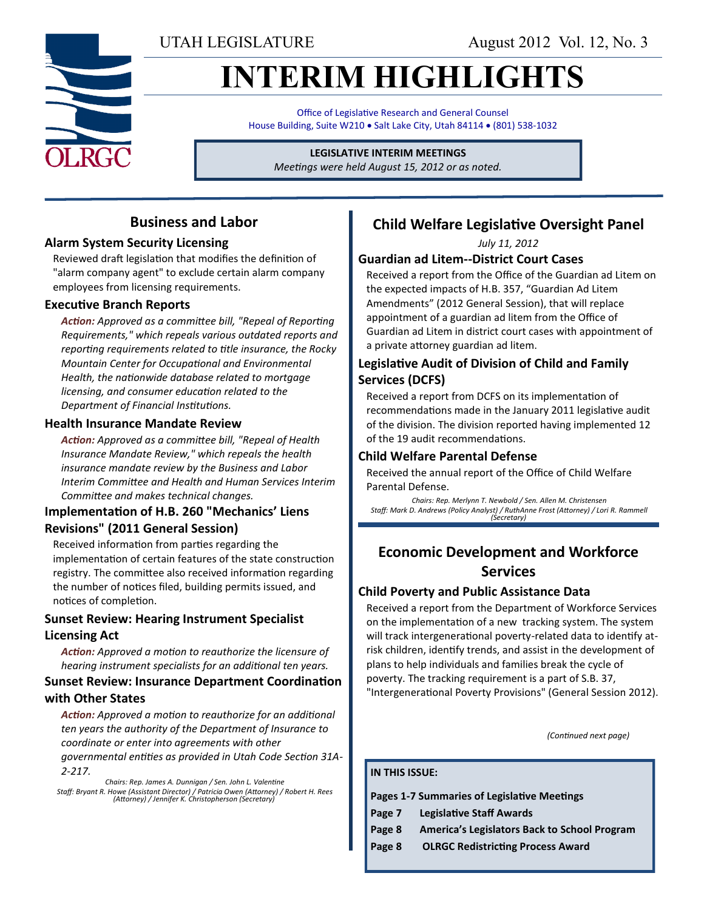UTAH LEGISLATURE August 2012 Vol. 12, No. 3

# **INTERIM HIGHLIGHTS**

Office of Legislative Research and General Counsel House Building, Suite W210 . Salt Lake City, Utah 84114 . (801) 538-1032

### **LEGISLATIVE INTERIM MEETINGS**

*Meetings were held August 15, 2012 or as noted.*

### **Business and Labor**

### **Alarm System Security Licensing**

Reviewed draft legislation that modifies the definition of "alarm company agent" to exclude certain alarm company employees from licensing requirements.

### **Executive Branch Reports**

*Action: Approved as a committee bill, "Repeal of Reporting Requirements," which repeals various outdated reports and reporting requirements related to title insurance, the Rocky Mountain Center for Occupational and Environmental Health, the nationwide database related to mortgage licensing, and consumer education related to the Department of Financial Institutions.*

### **Health Insurance Mandate Review**

*Action: Approved as a committee bill, "Repeal of Health Insurance Mandate Review," which repeals the health insurance mandate review by the Business and Labor Interim Committee and Health and Human Services Interim Committee and makes technical changes.*

### **Implementation of H.B. 260 "Mechanics' Liens Revisions" (2011 General Session)**

Received information from parties regarding the implementation of certain features of the state construction registry. The committee also received information regarding the number of notices filed, building permits issued, and notices of completion.

### **Sunset Review: Hearing Instrument Specialist Licensing Act**

*Action: Approved a motion to reauthorize the licensure of hearing instrument specialists for an additional ten years.*

### **Sunset Review: Insurance Department Coordination with Other States**

*Action: Approved a motion to reauthorize for an additional ten years the authority of the Department of Insurance to coordinate or enter into agreements with other* 

*governmental entities as provided in Utah Code Section 31A-2-217.*

*Chairs: Rep. James A. Dunnigan / Sen. John L. Valentine Staff: Bryant R. Howe (Assistant Director) / Patricia Owen (Attorney) / Robert H. Rees (Attorney) / Jennifer K. Christopherson (Secretary)*

### **Child Welfare Legislative Oversight Panel**

*July 11, 2012*

### **Guardian ad Litem--District Court Cases**

Received a report from the Office of the Guardian ad Litem on the expected impacts of H.B. 357, "Guardian Ad Litem Amendments" (2012 General Session), that will replace appointment of a guardian ad litem from the Office of Guardian ad Litem in district court cases with appointment of a private attorney guardian ad litem.

### **Legislative Audit of Division of Child and Family Services (DCFS)**

Received a report from DCFS on its implementation of recommendations made in the January 2011 legislative audit of the division. The division reported having implemented 12 of the 19 audit recommendations.

### **Child Welfare Parental Defense**

Received the annual report of the Office of Child Welfare Parental Defense.

*Chairs: Rep. Merlynn T. Newbold / Sen. Allen M. Christensen Staff: Mark D. Andrews (Policy Analyst) / RuthAnne Frost (Attorney) / Lori R. Rammell (Secretary)*

### **Economic Development and Workforce Services**

### **Child Poverty and Public Assistance Data**

Received a report from the Department of Workforce Services on the implementation of a new tracking system. The system will track intergenerational poverty-related data to identify atrisk children, identify trends, and assist in the development of plans to help individuals and families break the cycle of poverty. The tracking requirement is a part of S.B. 37, "Intergenerational Poverty Provisions" (General Session 2012).

*(Continued next page)*

#### **IN THIS ISSUE:**

**Pages 1-7 Summaries of Legislative Meetings**

- **Page 7 Legislative Staff Awards**
- **Page 8 America's Legislators Back to School Program**
- **Page 8 OLRGC Redistricting Process Award**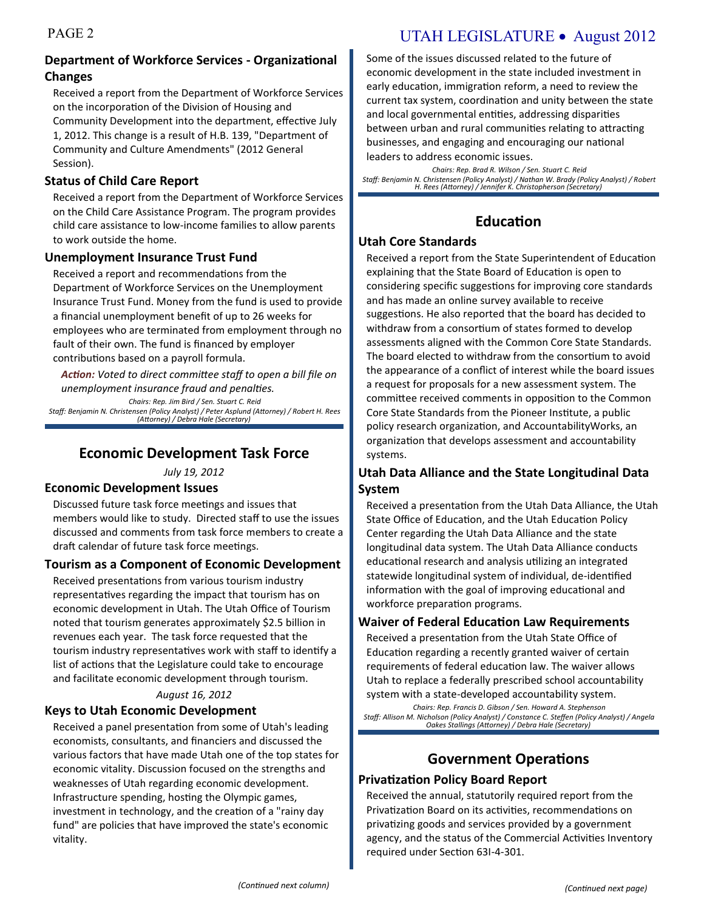### PAGE 2 UTAH LEGISLATURE • August 2012

### **Department of Workforce Services - Organizational Changes**

Received a report from the Department of Workforce Services on the incorporation of the Division of Housing and Community Development into the department, effective July 1, 2012. This change is a result of H.B. 139, "Department of Community and Culture Amendments" (2012 General Session).

### **Status of Child Care Report**

Received a report from the Department of Workforce Services on the Child Care Assistance Program. The program provides child care assistance to low-income families to allow parents to work outside the home.

### **Unemployment Insurance Trust Fund**

Received a report and recommendations from the Department of Workforce Services on the Unemployment Insurance Trust Fund. Money from the fund is used to provide a financial unemployment benefit of up to 26 weeks for employees who are terminated from employment through no fault of their own. The fund is financed by employer contributions based on a payroll formula.

*Action: Voted to direct committee staff to open a bill file on unemployment insurance fraud and penalties.*

*Chairs: Rep. Jim Bird / Sen. Stuart C. Reid Staff: Benjamin N. Christensen (Policy Analyst) / Peter Asplund (Attorney) / Robert H. Rees (Attorney) / Debra Hale (Secretary)*

### **Economic Development Task Force**

*July 19, 2012*

### **Economic Development Issues**

Discussed future task force meetings and issues that members would like to study. Directed staff to use the issues discussed and comments from task force members to create a draft calendar of future task force meetings.

### **Tourism as a Component of Economic Development**

Received presentations from various tourism industry representatives regarding the impact that tourism has on economic development in Utah. The Utah Office of Tourism noted that tourism generates approximately \$2.5 billion in revenues each year. The task force requested that the tourism industry representatives work with staff to identify a list of actions that the Legislature could take to encourage and facilitate economic development through tourism.

#### *August 16, 2012*

### **Keys to Utah Economic Development**

Received a panel presentation from some of Utah's leading economists, consultants, and financiers and discussed the various factors that have made Utah one of the top states for economic vitality. Discussion focused on the strengths and weaknesses of Utah regarding economic development. Infrastructure spending, hosting the Olympic games, investment in technology, and the creation of a "rainy day fund" are policies that have improved the state's economic vitality.

Some of the issues discussed related to the future of economic development in the state included investment in early education, immigration reform, a need to review the current tax system, coordination and unity between the state and local governmental entities, addressing disparities between urban and rural communities relating to attracting businesses, and engaging and encouraging our national leaders to address economic issues.

*Chairs: Rep. Brad R. Wilson / Sen. Stuart C. Reid Staff: Benjamin N. Christensen (Policy Analyst) / Nathan W. Brady (Policy Analyst) / Robert H. Rees (Attorney) / Jennifer K. Christopherson (Secretary)*

### **Education**

### **Utah Core Standards**

Received a report from the State Superintendent of Education explaining that the State Board of Education is open to considering specific suggestions for improving core standards and has made an online survey available to receive suggestions. He also reported that the board has decided to withdraw from a consortium of states formed to develop assessments aligned with the Common Core State Standards. The board elected to withdraw from the consortium to avoid the appearance of a conflict of interest while the board issues a request for proposals for a new assessment system. The committee received comments in opposition to the Common Core State Standards from the Pioneer Institute, a public policy research organization, and AccountabilityWorks, an organization that develops assessment and accountability systems.

### **Utah Data Alliance and the State Longitudinal Data System**

Received a presentation from the Utah Data Alliance, the Utah State Office of Education, and the Utah Education Policy Center regarding the Utah Data Alliance and the state longitudinal data system. The Utah Data Alliance conducts educational research and analysis utilizing an integrated statewide longitudinal system of individual, de-identified information with the goal of improving educational and workforce preparation programs.

### **Waiver of Federal Education Law Requirements**

Received a presentation from the Utah State Office of Education regarding a recently granted waiver of certain requirements of federal education law. The waiver allows Utah to replace a federally prescribed school accountability system with a state-developed accountability system.

*Chairs: Rep. Francis D. Gibson / Sen. Howard A. Stephenson Staff: Allison M. Nicholson (Policy Analyst) / Constance C. Steffen (Policy Analyst) / Angela Oakes Stallings (Attorney) / Debra Hale (Secretary)*

## **Government Operations**

### **Privatization Policy Board Report**

Received the annual, statutorily required report from the Privatization Board on its activities, recommendations on privatizing goods and services provided by a government agency, and the status of the Commercial Activities Inventory required under Section 63I-4-301.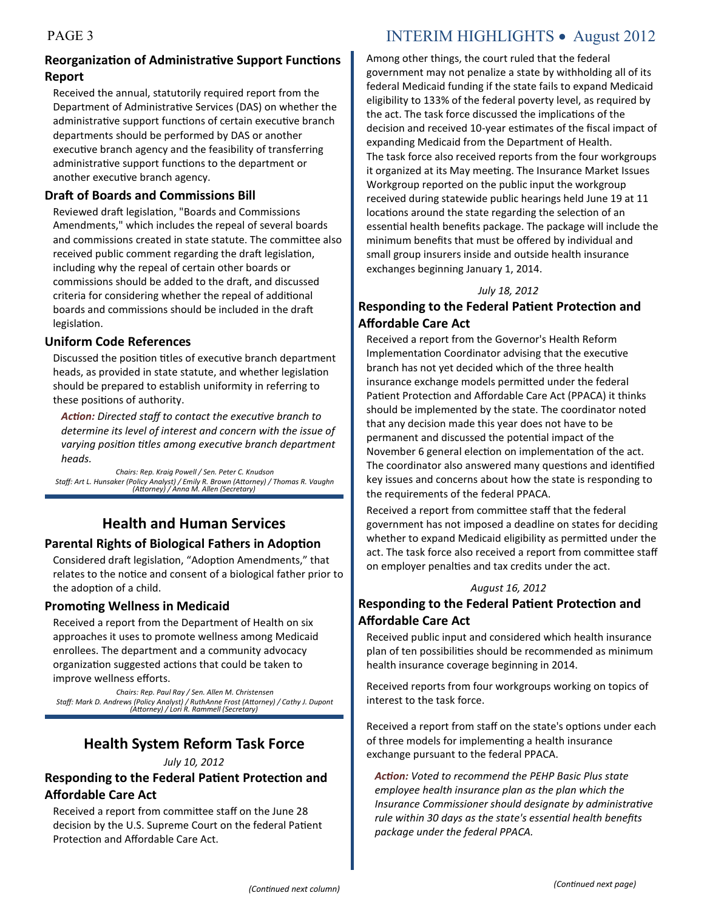### PAGE 3 INTERIM HIGHLIGHTS • August 2012

### **Reorganization of Administrative Support Functions Report**

Received the annual, statutorily required report from the Department of Administrative Services (DAS) on whether the administrative support functions of certain executive branch departments should be performed by DAS or another executive branch agency and the feasibility of transferring administrative support functions to the department or another executive branch agency.

### **Draft of Boards and Commissions Bill**

Reviewed draft legislation, "Boards and Commissions Amendments," which includes the repeal of several boards and commissions created in state statute. The committee also received public comment regarding the draft legislation, including why the repeal of certain other boards or commissions should be added to the draft, and discussed criteria for considering whether the repeal of additional boards and commissions should be included in the draft legislation.

### **Uniform Code References**

Discussed the position titles of executive branch department heads, as provided in state statute, and whether legislation should be prepared to establish uniformity in referring to these positions of authority.

*Action: Directed staff to contact the executive branch to determine its level of interest and concern with the issue of varying position titles among executive branch department heads.*

*Chairs: Rep. Kraig Powell / Sen. Peter C. Knudson Staff: Art L. Hunsaker (Policy Analyst) / Emily R. Brown (Attorney) / Thomas R. Vaughn (Attorney) / Anna M. Allen (Secretary)*

### **Health and Human Services**

### **Parental Rights of Biological Fathers in Adoption**

Considered draft legislation, "Adoption Amendments," that relates to the notice and consent of a biological father prior to the adoption of a child.

### **Promoting Wellness in Medicaid**

Received a report from the Department of Health on six approaches it uses to promote wellness among Medicaid enrollees. The department and a community advocacy organization suggested actions that could be taken to improve wellness efforts.

*Chairs: Rep. Paul Ray / Sen. Allen M. Christensen Staff: Mark D. Andrews (Policy Analyst) / RuthAnne Frost (Attorney) / Cathy J. Dupont (Attorney) / Lori R. Rammell (Secretary)*

### **Health System Reform Task Force**

### *July 10, 2012*

### **Responding to the Federal Patient Protection and Affordable Care Act**

Received a report from committee staff on the June 28 decision by the U.S. Supreme Court on the federal Patient Protection and Affordable Care Act.

Among other things, the court ruled that the federal government may not penalize a state by withholding all of its federal Medicaid funding if the state fails to expand Medicaid eligibility to 133% of the federal poverty level, as required by the act. The task force discussed the implications of the decision and received 10-year estimates of the fiscal impact of expanding Medicaid from the Department of Health. The task force also received reports from the four workgroups it organized at its May meeting. The Insurance Market Issues Workgroup reported on the public input the workgroup received during statewide public hearings held June 19 at 11 locations around the state regarding the selection of an essential health benefits package. The package will include the minimum benefits that must be offered by individual and small group insurers inside and outside health insurance exchanges beginning January 1, 2014.

### *July 18, 2012*

### **Responding to the Federal Patient Protection and Affordable Care Act**

Received a report from the Governor's Health Reform Implementation Coordinator advising that the executive branch has not yet decided which of the three health insurance exchange models permitted under the federal Patient Protection and Affordable Care Act (PPACA) it thinks should be implemented by the state. The coordinator noted that any decision made this year does not have to be permanent and discussed the potential impact of the November 6 general election on implementation of the act. The coordinator also answered many questions and identified key issues and concerns about how the state is responding to the requirements of the federal PPACA.

Received a report from committee staff that the federal government has not imposed a deadline on states for deciding whether to expand Medicaid eligibility as permitted under the act. The task force also received a report from committee staff on employer penalties and tax credits under the act.

#### *August 16, 2012*

### **Responding to the Federal Patient Protection and Affordable Care Act**

Received public input and considered which health insurance plan of ten possibilities should be recommended as minimum health insurance coverage beginning in 2014.

Received reports from four workgroups working on topics of interest to the task force.

Received a report from staff on the state's options under each of three models for implementing a health insurance exchange pursuant to the federal PPACA.

*Action: Voted to recommend the PEHP Basic Plus state employee health insurance plan as the plan which the Insurance Commissioner should designate by administrative rule within 30 days as the state's essential health benefits package under the federal PPACA.*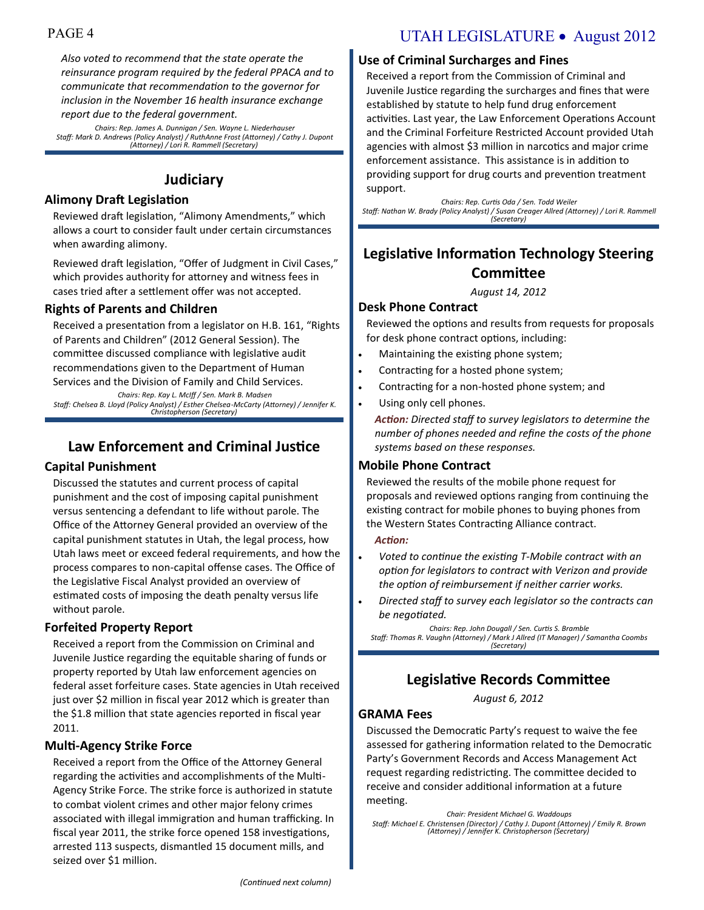*Also voted to recommend that the state operate the reinsurance program required by the federal PPACA and to communicate that recommendation to the governor for inclusion in the November 16 health insurance exchange report due to the federal government.*

*Chairs: Rep. James A. Dunnigan / Sen. Wayne L. Niederhauser Staff: Mark D. Andrews (Policy Analyst) / RuthAnne Frost (Attorney) / Cathy J. Dupont (Attorney) / Lori R. Rammell (Secretary)*

### **Judiciary**

### **Alimony Draft Legislation**

Reviewed draft legislation, "Alimony Amendments," which allows a court to consider fault under certain circumstances when awarding alimony.

Reviewed draft legislation, "Offer of Judgment in Civil Cases," which provides authority for attorney and witness fees in cases tried after a settlement offer was not accepted.

### **Rights of Parents and Children**

Received a presentation from a legislator on H.B. 161, "Rights of Parents and Children" (2012 General Session). The committee discussed compliance with legislative audit recommendations given to the Department of Human Services and the Division of Family and Child Services.

*Chairs: Rep. Kay L. McIff / Sen. Mark B. Madsen Staff: Chelsea B. Lloyd (Policy Analyst) / Esther Chelsea-McCarty (Attorney) / Jennifer K. Christopherson (Secretary)*

### **Law Enforcement and Criminal Justice**

### **Capital Punishment**

Discussed the statutes and current process of capital punishment and the cost of imposing capital punishment versus sentencing a defendant to life without parole. The Office of the Attorney General provided an overview of the capital punishment statutes in Utah, the legal process, how Utah laws meet or exceed federal requirements, and how the process compares to non-capital offense cases. The Office of the Legislative Fiscal Analyst provided an overview of estimated costs of imposing the death penalty versus life without parole.

### **Forfeited Property Report**

Received a report from the Commission on Criminal and Juvenile Justice regarding the equitable sharing of funds or property reported by Utah law enforcement agencies on federal asset forfeiture cases. State agencies in Utah received just over \$2 million in fiscal year 2012 which is greater than the \$1.8 million that state agencies reported in fiscal year 2011.

### **Multi-Agency Strike Force**

Received a report from the Office of the Attorney General regarding the activities and accomplishments of the Multi-Agency Strike Force. The strike force is authorized in statute to combat violent crimes and other major felony crimes associated with illegal immigration and human trafficking. In fiscal year 2011, the strike force opened 158 investigations, arrested 113 suspects, dismantled 15 document mills, and seized over \$1 million.

## PAGE 4 UTAH LEGISLATURE • August 2012

### **Use of Criminal Surcharges and Fines**

Received a report from the Commission of Criminal and Juvenile Justice regarding the surcharges and fines that were established by statute to help fund drug enforcement activities. Last year, the Law Enforcement Operations Account and the Criminal Forfeiture Restricted Account provided Utah agencies with almost \$3 million in narcotics and major crime enforcement assistance. This assistance is in addition to providing support for drug courts and prevention treatment support.

*Chairs: Rep. Curtis Oda / Sen. Todd Weiler Staff: Nathan W. Brady (Policy Analyst) / Susan Creager Allred (Attorney) / Lori R. Rammell (Secretary)*

### **Legislative Information Technology Steering Committee**

*August 14, 2012*

### **Desk Phone Contract**

Reviewed the options and results from requests for proposals for desk phone contract options, including:

- Maintaining the existing phone system;
- Contracting for a hosted phone system;
- Contracting for a non-hosted phone system; and
- Using only cell phones.

*Action: Directed staff to survey legislators to determine the number of phones needed and refine the costs of the phone systems based on these responses.*

### **Mobile Phone Contract**

Reviewed the results of the mobile phone request for proposals and reviewed options ranging from continuing the existing contract for mobile phones to buying phones from the Western States Contracting Alliance contract.

#### *Action:*

- *Voted to continue the existing T-Mobile contract with an option for legislators to contract with Verizon and provide the option of reimbursement if neither carrier works.*
- *Directed staff to survey each legislator so the contracts can be negotiated.*

*Chairs: Rep. John Dougall / Sen. Curtis S. Bramble Staff: Thomas R. Vaughn (Attorney) / Mark J Allred (IT Manager) / Samantha Coombs (Secretary)*

### **Legislative Records Committee**

*August 6, 2012*

### **GRAMA Fees**

Discussed the Democratic Party's request to waive the fee assessed for gathering information related to the Democratic Party's Government Records and Access Management Act request regarding redistricting. The committee decided to receive and consider additional information at a future meeting.

*Chair: President Michael G. Waddoups Staff: Michael E. Christensen (Director) / Cathy J. Dupont (Attorney) / Emily R. Brown (Attorney) / Jennifer K. Christopherson (Secretary)*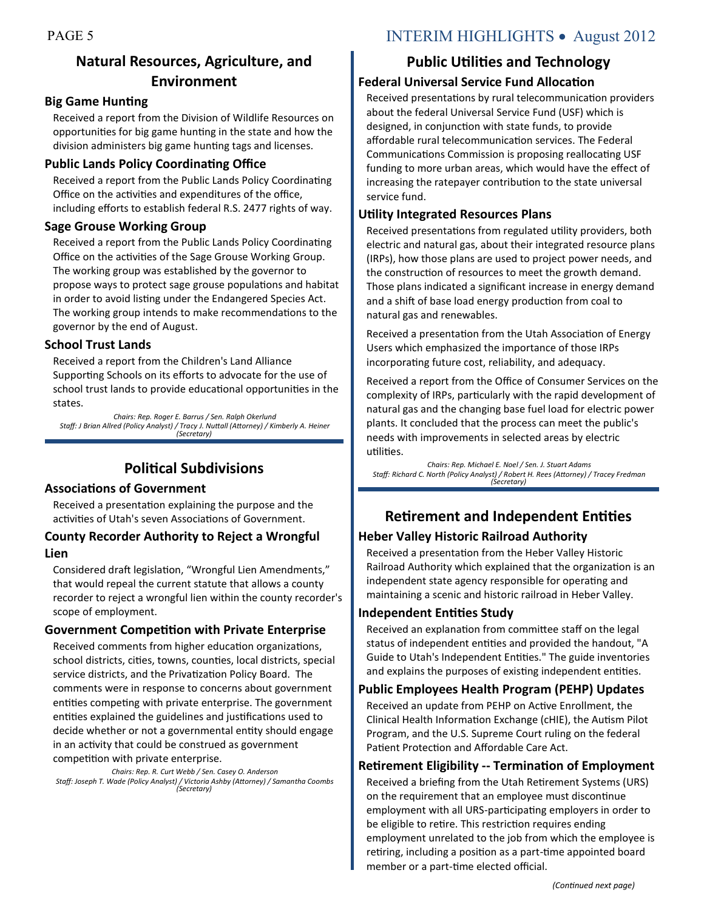### **Natural Resources, Agriculture, and Environment**

### **Big Game Hunting**

Received a report from the Division of Wildlife Resources on opportunities for big game hunting in the state and how the division administers big game hunting tags and licenses.

### **Public Lands Policy Coordinating Office**

Received a report from the Public Lands Policy Coordinating Office on the activities and expenditures of the office, including efforts to establish federal R.S. 2477 rights of way.

### **Sage Grouse Working Group**

Received a report from the Public Lands Policy Coordinating Office on the activities of the Sage Grouse Working Group. The working group was established by the governor to propose ways to protect sage grouse populations and habitat in order to avoid listing under the Endangered Species Act. The working group intends to make recommendations to the governor by the end of August.

### **School Trust Lands**

Received a report from the Children's Land Alliance Supporting Schools on its efforts to advocate for the use of school trust lands to provide educational opportunities in the states.

*Chairs: Rep. Roger E. Barrus / Sen. Ralph Okerlund Staff: J Brian Allred (Policy Analyst) / Tracy J. Nuttall (Attorney) / Kimberly A. Heiner (Secretary)*

### **Political Subdivisions**

### **Associations of Government**

Received a presentation explaining the purpose and the activities of Utah's seven Associations of Government.

### **County Recorder Authority to Reject a Wrongful Lien**

Considered draft legislation, "Wrongful Lien Amendments," that would repeal the current statute that allows a county recorder to reject a wrongful lien within the county recorder's scope of employment.

### **Government Competition with Private Enterprise**

Received comments from higher education organizations, school districts, cities, towns, counties, local districts, special service districts, and the Privatization Policy Board. The comments were in response to concerns about government entities competing with private enterprise. The government entities explained the guidelines and justifications used to decide whether or not a governmental entity should engage in an activity that could be construed as government competition with private enterprise.

*Chairs: Rep. R. Curt Webb / Sen. Casey O. Anderson Staff: Joseph T. Wade (Policy Analyst) / Victoria Ashby (Attorney) / Samantha Coombs (Secretary)*

### PAGE 5 INTERIM HIGHLIGHTS • August 2012

### **Public Utilities and Technology**

### **Federal Universal Service Fund Allocation**

Received presentations by rural telecommunication providers about the federal Universal Service Fund (USF) which is designed, in conjunction with state funds, to provide affordable rural telecommunication services. The Federal Communications Commission is proposing reallocating USF funding to more urban areas, which would have the effect of increasing the ratepayer contribution to the state universal service fund.

### **Utility Integrated Resources Plans**

Received presentations from regulated utility providers, both electric and natural gas, about their integrated resource plans (IRPs), how those plans are used to project power needs, and the construction of resources to meet the growth demand. Those plans indicated a significant increase in energy demand and a shift of base load energy production from coal to natural gas and renewables.

Received a presentation from the Utah Association of Energy Users which emphasized the importance of those IRPs incorporating future cost, reliability, and adequacy.

Received a report from the Office of Consumer Services on the complexity of IRPs, particularly with the rapid development of natural gas and the changing base fuel load for electric power plants. It concluded that the process can meet the public's needs with improvements in selected areas by electric utilities.

*Chairs: Rep. Michael E. Noel / Sen. J. Stuart Adams Staff: Richard C. North (Policy Analyst) / Robert H. Rees (Attorney) / Tracey Fredman (Secretary)*

### **Retirement and Independent Entities**

### **Heber Valley Historic Railroad Authority**

Received a presentation from the Heber Valley Historic Railroad Authority which explained that the organization is an independent state agency responsible for operating and maintaining a scenic and historic railroad in Heber Valley.

### **Independent Entities Study**

Received an explanation from committee staff on the legal status of independent entities and provided the handout, "A Guide to Utah's Independent Entities." The guide inventories and explains the purposes of existing independent entities.

### **Public Employees Health Program (PEHP) Updates**

Received an update from PEHP on Active Enrollment, the Clinical Health Information Exchange (cHIE), the Autism Pilot Program, and the U.S. Supreme Court ruling on the federal Patient Protection and Affordable Care Act.

### **Retirement Eligibility -- Termination of Employment**

Received a briefing from the Utah Retirement Systems (URS) on the requirement that an employee must discontinue employment with all URS-participating employers in order to be eligible to retire. This restriction requires ending employment unrelated to the job from which the employee is retiring, including a position as a part-time appointed board member or a part-time elected official.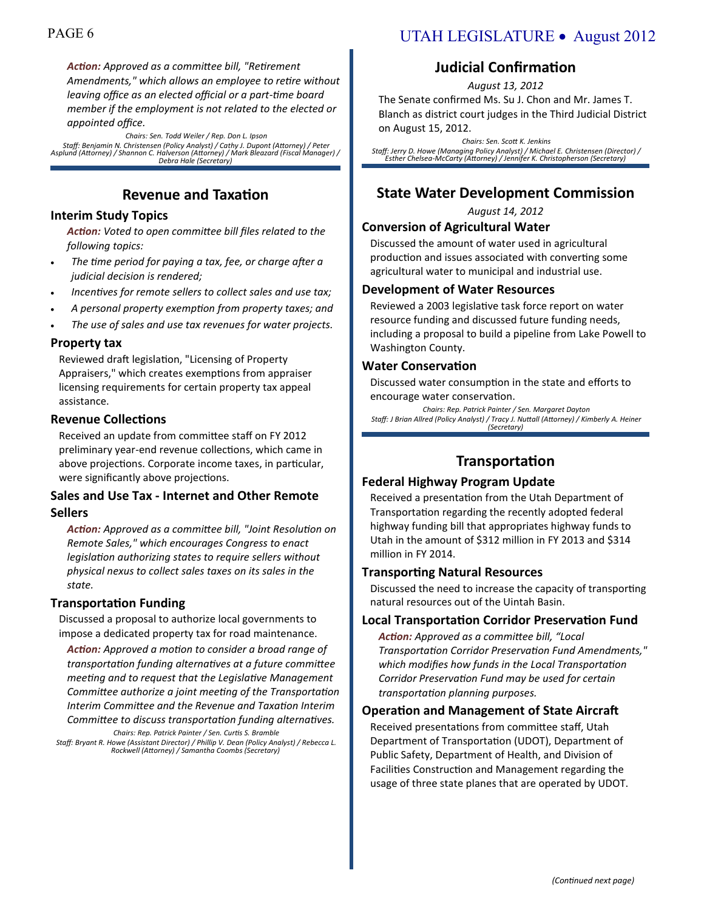*Action: Approved as a committee bill, "Retirement Amendments," which allows an employee to retire without leaving office as an elected official or a part-time board member if the employment is not related to the elected or appointed office.*

*Chairs: Sen. Todd Weiler / Rep. Don L. Ipson Staff: Benjamin N. Christensen (Policy Analyst) / Cathy J. Dupont (Attorney) / Peter Asplund (Attorney) / Shannon C. Halverson (Attorney) / Mark Bleazard (Fiscal Manager) / Debra Hale (Secretary)*

### **Revenue and Taxation**

### **Interim Study Topics**

*Action: Voted to open committee bill files related to the following topics:*

- *The time period for paying a tax, fee, or charge after a judicial decision is rendered;*
- *Incentives for remote sellers to collect sales and use tax;*
- *A personal property exemption from property taxes; and*
- *The use of sales and use tax revenues for water projects.*

#### **Property tax**

Reviewed draft legislation, "Licensing of Property Appraisers," which creates exemptions from appraiser licensing requirements for certain property tax appeal assistance.

### **Revenue Collections**

Received an update from committee staff on FY 2012 preliminary year-end revenue collections, which came in above projections. Corporate income taxes, in particular, were significantly above projections.

### **Sales and Use Tax - Internet and Other Remote Sellers**

*Action: Approved as a committee bill, "Joint Resolution on Remote Sales," which encourages Congress to enact legislation authorizing states to require sellers without physical nexus to collect sales taxes on its sales in the state.*

### **Transportation Funding**

Discussed a proposal to authorize local governments to impose a dedicated property tax for road maintenance.

*Action: Approved a motion to consider a broad range of transportation funding alternatives at a future committee meeting and to request that the Legislative Management Committee authorize a joint meeting of the Transportation Interim Committee and the Revenue and Taxation Interim Committee to discuss transportation funding alternatives.*

*Chairs: Rep. Patrick Painter / Sen. Curtis S. Bramble Staff: Bryant R. Howe (Assistant Director) / Phillip V. Dean (Policy Analyst) / Rebecca L. Rockwell (Attorney) / Samantha Coombs (Secretary)*

### PAGE 6 UTAH LEGISLATURE • August 2012

### **Judicial Confirmation**

*August 13, 2012*

The Senate confirmed Ms. Su J. Chon and Mr. James T. Blanch as district court judges in the Third Judicial District on August 15, 2012.

*Chairs: Sen. Scott K. Jenkins Staff: Jerry D. Howe (Managing Policy Analyst) / Michael E. Christensen (Director) / Esther Chelsea-McCarty (Attorney) / Jennifer K. Christopherson (Secretary)*

### **State Water Development Commission**

*August 14, 2012*

### **Conversion of Agricultural Water**

Discussed the amount of water used in agricultural production and issues associated with converting some agricultural water to municipal and industrial use.

#### **Development of Water Resources**

Reviewed a 2003 legislative task force report on water resource funding and discussed future funding needs, including a proposal to build a pipeline from Lake Powell to Washington County.

#### **Water Conservation**

Discussed water consumption in the state and efforts to encourage water conservation.

*Chairs: Rep. Patrick Painter / Sen. Margaret Dayton Staff: J Brian Allred (Policy Analyst) / Tracy J. Nuttall (Attorney) / Kimberly A. Heiner (Secretary)*

### **Transportation**

### **Federal Highway Program Update**

Received a presentation from the Utah Department of Transportation regarding the recently adopted federal highway funding bill that appropriates highway funds to Utah in the amount of \$312 million in FY 2013 and \$314 million in FY 2014.

### **Transporting Natural Resources**

Discussed the need to increase the capacity of transporting natural resources out of the Uintah Basin.

### **Local Transportation Corridor Preservation Fund**

*Action: Approved as a committee bill, "Local Transportation Corridor Preservation Fund Amendments," which modifies how funds in the Local Transportation Corridor Preservation Fund may be used for certain transportation planning purposes.*

### **Operation and Management of State Aircraft**

Received presentations from committee staff, Utah Department of Transportation (UDOT), Department of Public Safety, Department of Health, and Division of Facilities Construction and Management regarding the usage of three state planes that are operated by UDOT.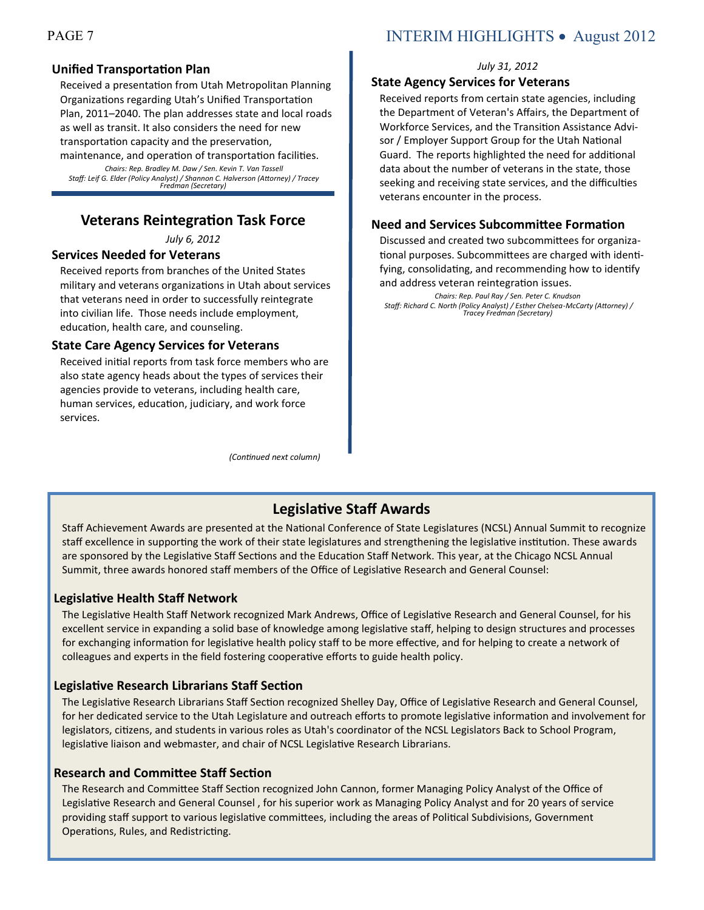### **Unified Transportation Plan**

Received a presentation from Utah Metropolitan Planning Organizations regarding Utah's Unified Transportation Plan, 2011–2040. The plan addresses state and local roads as well as transit. It also considers the need for new transportation capacity and the preservation,

maintenance, and operation of transportation facilities. *Chairs: Rep. Bradley M. Daw / Sen. Kevin T. Van Tassell Staff: Leif G. Elder (Policy Analyst) / Shannon C. Halverson (Attorney) / Tracey Fredman (Secretary)*

### **Veterans Reintegration Task Force**

*July 6, 2012* 

### **Services Needed for Veterans**

Received reports from branches of the United States military and veterans organizations in Utah about services that veterans need in order to successfully reintegrate into civilian life. Those needs include employment, education, health care, and counseling.

### **State Care Agency Services for Veterans**

Received initial reports from task force members who are also state agency heads about the types of services their agencies provide to veterans, including health care, human services, education, judiciary, and work force services.

*(Continued next column)*

### PAGE 7 INTERIM HIGHLIGHTS • August 2012

#### *July 31, 2012*

### **State Agency Services for Veterans**

Received reports from certain state agencies, including the Department of Veteran's Affairs, the Department of Workforce Services, and the Transition Assistance Advisor / Employer Support Group for the Utah National Guard. The reports highlighted the need for additional data about the number of veterans in the state, those seeking and receiving state services, and the difficulties veterans encounter in the process.

### **Need and Services Subcommittee Formation**

Discussed and created two subcommittees for organizational purposes. Subcommittees are charged with identifying, consolidating, and recommending how to identify and address veteran reintegration issues.

*Chairs: Rep. Paul Ray / Sen. Peter C. Knudson*

*Staff: Richard C. North (Policy Analyst) / Esther Chelsea-McCarty (Attorney) / Tracey Fredman (Secretary)*

### **Legislative Staff Awards**

Staff Achievement Awards are presented at the National Conference of State Legislatures (NCSL) Annual Summit to recognize staff excellence in supporting the work of their state legislatures and strengthening the legislative institution. These awards are sponsored by the Legislative Staff Sections and the Education Staff Network. This year, at the Chicago NCSL Annual Summit, three awards honored staff members of the Office of Legislative Research and General Counsel:

### **Legislative Health Staff Network**

The Legislative Health Staff Network recognized Mark Andrews, Office of Legislative Research and General Counsel, for his excellent service in expanding a solid base of knowledge among legislative staff, helping to design structures and processes for exchanging information for legislative health policy staff to be more effective, and for helping to create a network of colleagues and experts in the field fostering cooperative efforts to guide health policy.

### **Legislative Research Librarians Staff Section**

The Legislative Research Librarians Staff Section recognized Shelley Day, Office of Legislative Research and General Counsel, for her dedicated service to the Utah Legislature and outreach efforts to promote legislative information and involvement for legislators, citizens, and students in various roles as Utah's coordinator of the NCSL Legislators Back to School Program, legislative liaison and webmaster, and chair of NCSL Legislative Research Librarians.

### **Research and Committee Staff Section**

The Research and Committee Staff Section recognized John Cannon, former Managing Policy Analyst of the Office of Legislative Research and General Counsel , for his superior work as Managing Policy Analyst and for 20 years of service providing staff support to various legislative committees, including the areas of Political Subdivisions, Government Operations, Rules, and Redistricting.